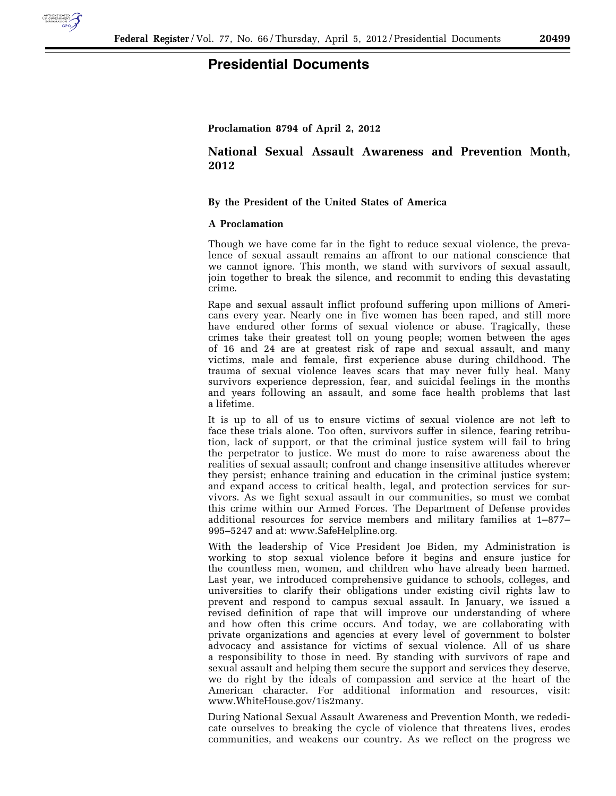

## **Presidential Documents**

**Proclamation 8794 of April 2, 2012** 

## **National Sexual Assault Awareness and Prevention Month, 2012**

## **By the President of the United States of America**

## **A Proclamation**

Though we have come far in the fight to reduce sexual violence, the prevalence of sexual assault remains an affront to our national conscience that we cannot ignore. This month, we stand with survivors of sexual assault, join together to break the silence, and recommit to ending this devastating crime.

Rape and sexual assault inflict profound suffering upon millions of Americans every year. Nearly one in five women has been raped, and still more have endured other forms of sexual violence or abuse. Tragically, these crimes take their greatest toll on young people; women between the ages of 16 and 24 are at greatest risk of rape and sexual assault, and many victims, male and female, first experience abuse during childhood. The trauma of sexual violence leaves scars that may never fully heal. Many survivors experience depression, fear, and suicidal feelings in the months and years following an assault, and some face health problems that last a lifetime.

It is up to all of us to ensure victims of sexual violence are not left to face these trials alone. Too often, survivors suffer in silence, fearing retribution, lack of support, or that the criminal justice system will fail to bring the perpetrator to justice. We must do more to raise awareness about the realities of sexual assault; confront and change insensitive attitudes wherever they persist; enhance training and education in the criminal justice system; and expand access to critical health, legal, and protection services for survivors. As we fight sexual assault in our communities, so must we combat this crime within our Armed Forces. The Department of Defense provides additional resources for service members and military families at 1–877– 995–5247 and at: www.SafeHelpline.org.

With the leadership of Vice President Joe Biden, my Administration is working to stop sexual violence before it begins and ensure justice for the countless men, women, and children who have already been harmed. Last year, we introduced comprehensive guidance to schools, colleges, and universities to clarify their obligations under existing civil rights law to prevent and respond to campus sexual assault. In January, we issued a revised definition of rape that will improve our understanding of where and how often this crime occurs. And today, we are collaborating with private organizations and agencies at every level of government to bolster advocacy and assistance for victims of sexual violence. All of us share a responsibility to those in need. By standing with survivors of rape and sexual assault and helping them secure the support and services they deserve, we do right by the ideals of compassion and service at the heart of the American character. For additional information and resources, visit: www.WhiteHouse.gov/1is2many.

During National Sexual Assault Awareness and Prevention Month, we rededicate ourselves to breaking the cycle of violence that threatens lives, erodes communities, and weakens our country. As we reflect on the progress we